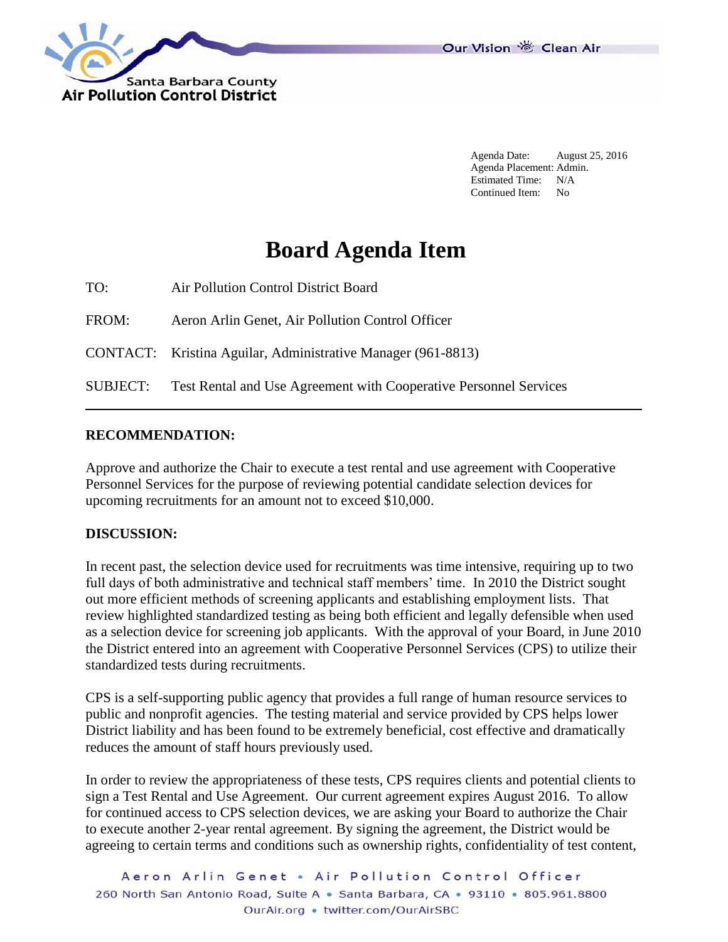



Agenda Date: August 25, 2016 Agenda Placement: Admin. Estimated Time: N/A Continued Item: No

# **Board Agenda Item**

TO: Air Pollution Control District Board

FROM: Aeron Arlin Genet, Air Pollution Control Officer

CONTACT: Kristina Aguilar, Administrative Manager (961-8813)

SUBJECT: Test Rental and Use Agreement with Cooperative Personnel Services

### **RECOMMENDATION:**

Approve and authorize the Chair to execute a test rental and use agreement with Cooperative Personnel Services for the purpose of reviewing potential candidate selection devices for upcoming recruitments for an amount not to exceed \$10,000.

#### **DISCUSSION:**

In recent past, the selection device used for recruitments was time intensive, requiring up to two full days of both administrative and technical staff members' time. In 2010 the District sought out more efficient methods of screening applicants and establishing employment lists. That review highlighted standardized testing as being both efficient and legally defensible when used as a selection device for screening job applicants. With the approval of your Board, in June 2010 the District entered into an agreement with Cooperative Personnel Services (CPS) to utilize their standardized tests during recruitments.

CPS is a self-supporting public agency that provides a full range of human resource services to public and nonprofit agencies. The testing material and service provided by CPS helps lower District liability and has been found to be extremely beneficial, cost effective and dramatically reduces the amount of staff hours previously used.

In order to review the appropriateness of these tests, CPS requires clients and potential clients to sign a Test Rental and Use Agreement. Our current agreement expires August 2016. To allow for continued access to CPS selection devices, we are asking your Board to authorize the Chair to execute another 2-year rental agreement. By signing the agreement, the District would be agreeing to certain terms and conditions such as ownership rights, confidentiality of test content,